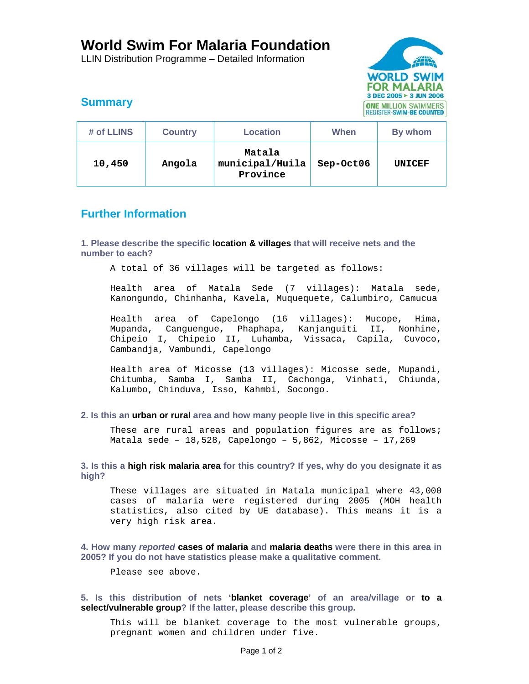# **World Swim For Malaria Foundation**

LLIN Distribution Programme – Detailed Information



## **Summary**

| # of LLINS | <b>Country</b> | <b>Location</b>                       | When      | By whom       |
|------------|----------------|---------------------------------------|-----------|---------------|
| 10,450     | Angola         | Matala<br>municipal/Huila<br>Province | Sep-Oct06 | <b>UNICEF</b> |

### **Further Information**

**1. Please describe the specific location & villages that will receive nets and the number to each?** 

A total of 36 villages will be targeted as follows:

Health area of Matala Sede (7 villages): Matala sede, Kanongundo, Chinhanha, Kavela, Muquequete, Calumbiro, Camucua

Health area of Capelongo (16 villages): Mucope, Hima, Mupanda, Canguengue, Phaphapa, Kanjanguiti II, Nonhine, Chipeio I, Chipeio II, Luhamba, Vissaca, Capila, Cuvoco, Cambandja, Vambundi, Capelongo

Health area of Micosse (13 villages): Micosse sede, Mupandi, Chitumba, Samba I, Samba II, Cachonga, Vinhati, Chiunda, Kalumbo, Chinduva, Isso, Kahmbi, Socongo.

#### **2. Is this an urban or rural area and how many people live in this specific area?**

These are rural areas and population figures are as follows; Matala sede – 18,528, Capelongo – 5,862, Micosse – 17,269

**3. Is this a high risk malaria area for this country? If yes, why do you designate it as high?** 

These villages are situated in Matala municipal where 43,000 cases of malaria were registered during 2005 (MOH health statistics, also cited by UE database). This means it is a very high risk area.

**4. How many** *reported* **cases of malaria and malaria deaths were there in this area in 2005? If you do not have statistics please make a qualitative comment.** 

Please see above.

**5. Is this distribution of nets 'blanket coverage' of an area/village or to a select/vulnerable group? If the latter, please describe this group.** 

This will be blanket coverage to the most vulnerable groups, pregnant women and children under five.